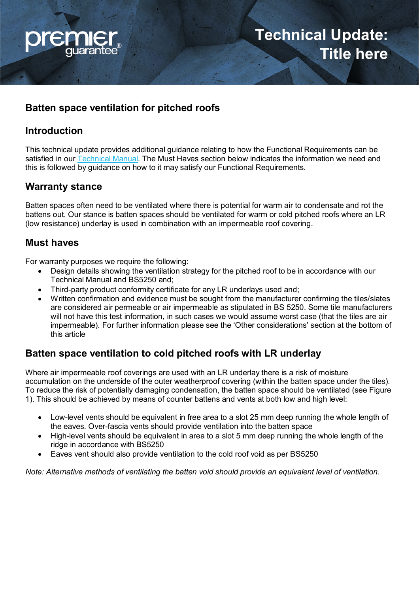

# **Batten space ventilation for pitched roofs**

# **Introduction**

This technical update provides additional guidance relating to how the Functional Requirements can be satisfied in our [Technical Manual.](https://www.premierguarantee.com/technical-standards/) The Must Haves section below indicates the information we need and this is followed by guidance on how to it may satisfy our Functional Requirements.

### **Warranty stance**

Batten spaces often need to be ventilated where there is potential for warm air to condensate and rot the battens out. Our stance is batten spaces should be ventilated for warm or cold pitched roofs where an LR (low resistance) underlay is used in combination with an impermeable roof covering.

### **Must haves**

For warranty purposes we require the following:

- Design details showing the ventilation strategy for the pitched roof to be in accordance with our Technical Manual and BS5250 and;
- Third-party product conformity certificate for any LR underlays used and;
- Written confirmation and evidence must be sought from the manufacturer confirming the tiles/slates are considered air permeable or air impermeable as stipulated in BS 5250. Some tile manufacturers will not have this test information, in such cases we would assume worst case (that the tiles are air impermeable). For further information please see the 'Other considerations' section at the bottom of this article

## **Batten space ventilation to cold pitched roofs with LR underlay**

Where air impermeable roof coverings are used with an LR underlay there is a risk of moisture accumulation on the underside of the outer weatherproof covering (within the batten space under the tiles). To reduce the risk of potentially damaging condensation, the batten space should be ventilated (see Figure 1). This should be achieved by means of counter battens and vents at both low and high level:

- Low-level vents should be equivalent in free area to a slot 25 mm deep running the whole length of the eaves. Over-fascia vents should provide ventilation into the batten space
- High-level vents should be equivalent in area to a slot 5 mm deep running the whole length of the ridge in accordance with BS5250
- Eaves vent should also provide ventilation to the cold roof void as per BS5250

*Note: Alternative methods of ventilating the batten void should provide an equivalent level of ventilation.*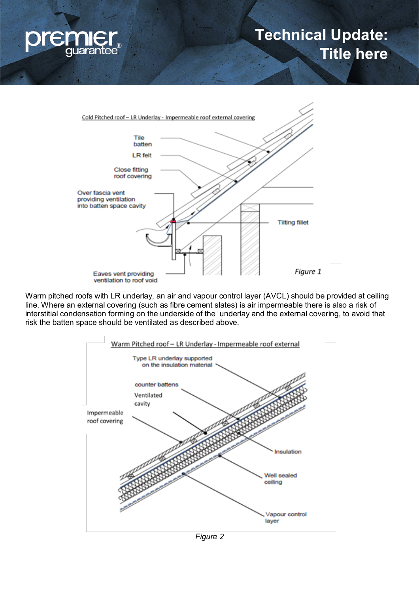

# **Technical Update: Title here**



Warm pitched roofs with LR underlay, an air and vapour control layer (AVCL) should be provided at ceiling line. Where an external covering (such as fibre cement slates) is air impermeable there is also a risk of interstitial condensation forming on the underside of the underlay and the external covering, to avoid that risk the batten space should be ventilated as described above.



*Figure 2*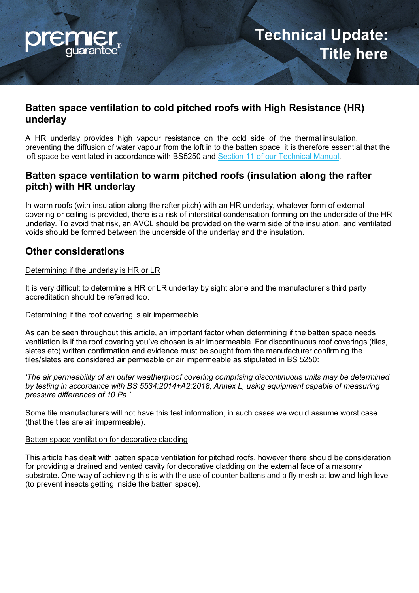

### **Batten space ventilation to cold pitched roofs with High Resistance (HR) underlay**

A HR underlay provides high vapour resistance on the cold side of the thermal insulation, preventing the diffusion of water vapour from the loft in to the batten space; it is therefore essential that the loft space be ventilated in accordance with BS5250 and [Section 11 of our Technical Manual.](https://www.premierguarantee.com/technical-standards/)

## **Batten space ventilation to warm pitched roofs (insulation along the rafter pitch) with HR underlay**

In warm roofs (with insulation along the rafter pitch) with an HR underlay, whatever form of external covering or ceiling is provided, there is a risk of interstitial condensation forming on the underside of the HR underlay. To avoid that risk, an AVCL should be provided on the warm side of the insulation, and ventilated voids should be formed between the underside of the underlay and the insulation.

### **Other considerations**

#### Determining if the underlay is HR or LR

It is very difficult to determine a HR or LR underlay by sight alone and the manufacturer's third party accreditation should be referred too.

#### Determining if the roof covering is air impermeable

As can be seen throughout this article, an important factor when determining if the batten space needs ventilation is if the roof covering you've chosen is air impermeable. For discontinuous roof coverings (tiles, slates etc) written confirmation and evidence must be sought from the manufacturer confirming the tiles/slates are considered air permeable or air impermeable as stipulated in BS 5250:

*'The air permeability of an outer weatherproof covering comprising discontinuous units may be determined by testing in accordance with BS 5534:2014+A2:2018, Annex L, using equipment capable of measuring pressure differences of 10 Pa.'* 

Some tile manufacturers will not have this test information, in such cases we would assume worst case (that the tiles are air impermeable).

#### Batten space ventilation for decorative cladding

This article has dealt with batten space ventilation for pitched roofs, however there should be consideration for providing a drained and vented cavity for decorative cladding on the external face of a masonry substrate. One way of achieving this is with the use of counter battens and a fly mesh at low and high level (to prevent insects getting inside the batten space).